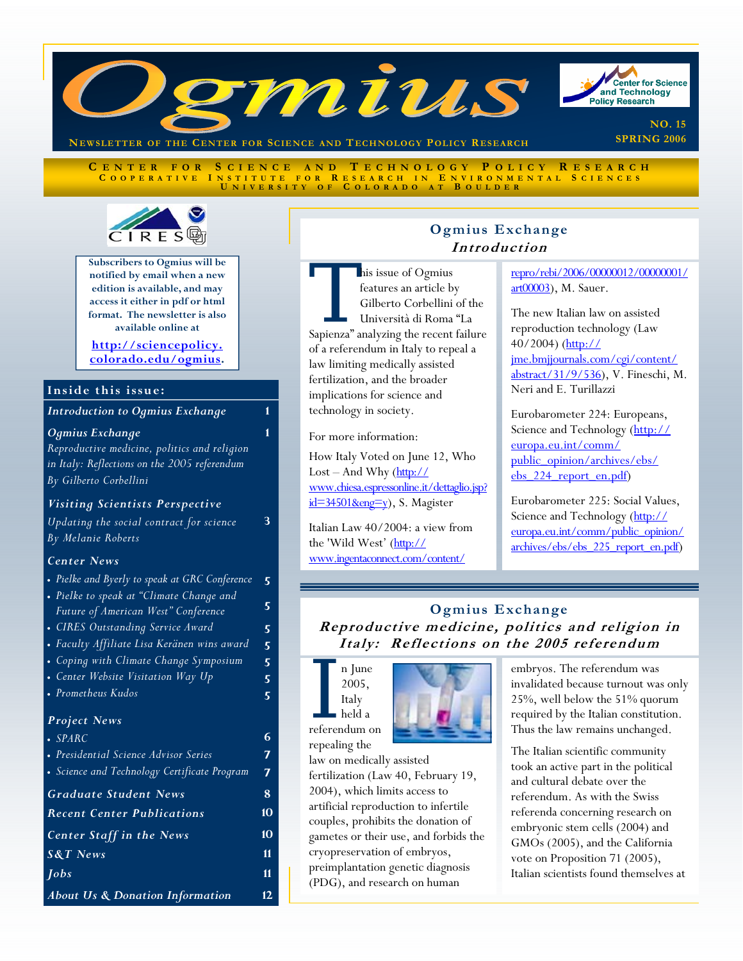

**C ENTER FOR S CIENCE AND T ECHNOLOGY P OLICY R ESEARCH C OOPERATIVE I NSTITUTE FOR R ESEARCH I N E NVIRONMENTAL S CIENCES U NIVERSITY O F C OLORADO A T B OULDER**



**Subscribers to Ogmius will be notified by email when a new edition is available, and may access it either in pdf or html format. The newsletter is also available online at** 

### **http://sciencepolicy. [colorado.edu/ogmius.](http://sciencepolicy.colorado.edu/ogmius)**

### **Inside this issue:**

*Introduction to Ogmius Exchange* **1** 

*Ogmius Exchange* 

*Reproductive medicine, politics and religion in Italy: Reflections on the 2005 referendum By Gilberto Corbellini*

### *Visiting Scientists Perspective*

*Updating the social contract for science By Melanie Roberts* 

### *Center News*

- *Pielke and Byerly to speak at GRC Conference*
- *Pielke to speak at "Climate Change and Future of American West" Conference*
- *CIRES Outstanding Service Award*
- *Faculty Affiliate Lisa Keränen wins award*
- *Coping with Climate Change Symposium*
- *Center Website Visitation Way Up*
- *Prometheus Kudos*

# *Project News*

- *SPARC*
- *Presidential Science Advisor Series*  • *Science and Technology Certificate Program*

| <b>Graduate Student News</b>               | 8   |
|--------------------------------------------|-----|
| <b>Recent Center Publications</b>          | 10  |
| <b>Center Staff in the News</b>            | 10  |
| $S&T$ News                                 | 11  |
| <b>Jobs</b>                                | 11  |
| <b>About Us &amp; Donation Information</b> | 12. |

# **Ogmius Exchange Introduction**

This issue of Ogmius<br>
features an article by<br>
Gilberto Corbellini of the<br>
Università di Roma "La<br>
Sapienza" analyzing the recent failure features an article by Gilberto Corbellini of the Università di Roma "La of a referendum in Italy to repeal a law limiting medically assisted fertilization, and the broader implications for science and technology in society.

For more information:

**1** 

**3** 

**5** 

**6 7 7** 

How Italy Voted on June 12, Who Lost – And Why  $(\frac{http://}{$ [www.chiesa.espressonline.it/dettaglio.jsp?](http://www.chiesa.espressonline.it/dettaglio.jsp?id=34501&eng=y)  $id=34501$ &eng=y), S. Magister

Italian Law 40/2004: a view from the 'Wild West' (http:// [www.ingentaconnect.com/content/](http://www.ingentaconnect.com/content/repro/rebi/2006/00000012/00000001/art00003)

[repro/rebi/2006/00000012/00000001/](http://www.ingentaconnect.com/content/repro/rebi/2006/00000012/00000001/art00003) art00003), M. Sauer.

The new Italian law on assisted reproduction technology (Law 40/2004) (http:// jme.bmjjournals.com/cgi/content/ [abstract/31/9/536\), V. Fineschi, M](http://jme.bmjjournals.com/cgi/content/abstract/31/9/536). Neri and E. Turillazzi

Eurobarometer 224: Europeans, [Science and Technology \(http://](http://europa.eu.int/comm/public_opinion/archives/ebs/ebs_224_report_en.pdf) europa.eu.int/comm/ public\_opinion/archives/ebs/ ebs 224 report en.pdf)

Eurobarometer 225: Social Values, Science and Technology (http:// europa.eu.int/comm/public\_opinion/ archives/ebs/ebs\_225\_report\_en.pdf)

# **Ogmius Exchange Reproductive medicine, politics and religion in Italy: Reflections on the 2005 referendum**



repealing the

law on medically assisted fertilization (Law 40, February 19, 2004), which limits access to artificial reproduction to infertile couples, prohibits the donation of gametes or their use, and forbids the cryopreservation of embryos, preimplantation genetic diagnosis (PDG), and research on human

embryos. The referendum was invalidated because turnout was only 25%, well below the 51% quorum required by the Italian constitution. Thus the law remains unchanged.

The Italian scientific community took an active part in the political and cultural debate over the referendum. As with the Swiss referenda concerning research on embryonic stem cells (2004) and GMOs (2005), and the California vote on Proposition 71 (2005), Italian scientists found themselves at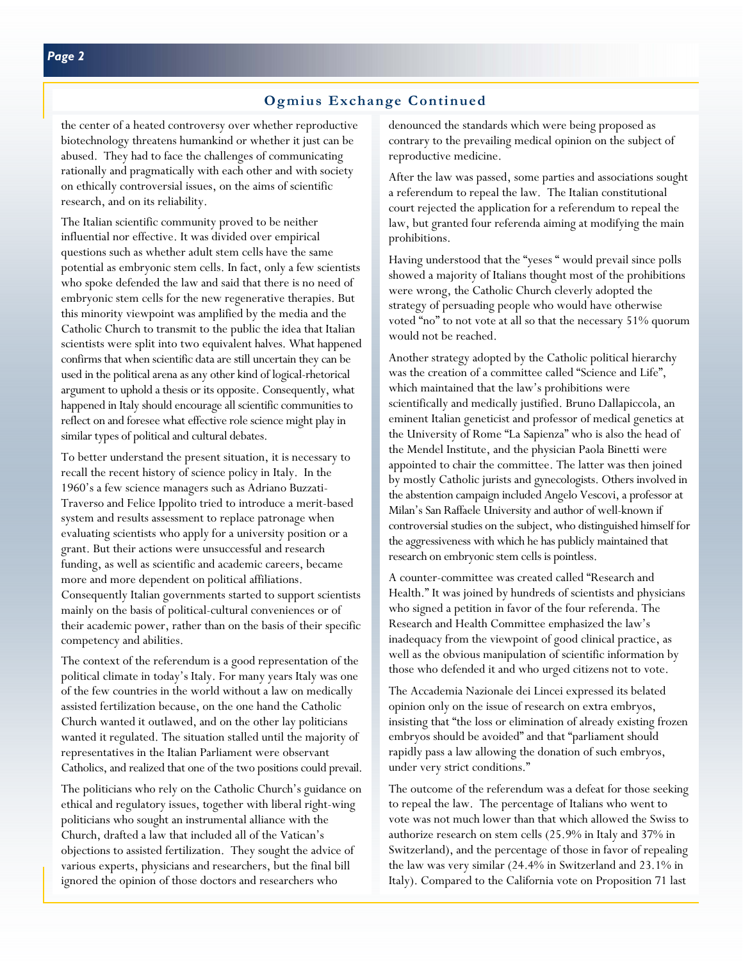the center of a heated controversy over whether reproductive biotechnology threatens humankind or whether it just can be abused. They had to face the challenges of communicating rationally and pragmatically with each other and with society on ethically controversial issues, on the aims of scientific research, and on its reliability.

The Italian scientific community proved to be neither influential nor effective. It was divided over empirical questions such as whether adult stem cells have the same potential as embryonic stem cells. In fact, only a few scientists who spoke defended the law and said that there is no need of embryonic stem cells for the new regenerative therapies. But this minority viewpoint was amplified by the media and the Catholic Church to transmit to the public the idea that Italian scientists were split into two equivalent halves. What happened confirms that when scientific data are still uncertain they can be used in the political arena as any other kind of logical-rhetorical argument to uphold a thesis or its opposite. Consequently, what happened in Italy should encourage all scientific communities to reflect on and foresee what effective role science might play in similar types of political and cultural debates.

To better understand the present situation, it is necessary to recall the recent history of science policy in Italy. In the 1960's a few science managers such as Adriano Buzzati-Traverso and Felice Ippolito tried to introduce a merit-based system and results assessment to replace patronage when evaluating scientists who apply for a university position or a grant. But their actions were unsuccessful and research funding, as well as scientific and academic careers, became more and more dependent on political affiliations. Consequently Italian governments started to support scientists mainly on the basis of political-cultural conveniences or of their academic power, rather than on the basis of their specific competency and abilities.

The context of the referendum is a good representation of the political climate in today's Italy. For many years Italy was one of the few countries in the world without a law on medically assisted fertilization because, on the one hand the Catholic Church wanted it outlawed, and on the other lay politicians wanted it regulated. The situation stalled until the majority of representatives in the Italian Parliament were observant Catholics, and realized that one of the two positions could prevail.

The politicians who rely on the Catholic Church's guidance on ethical and regulatory issues, together with liberal right-wing politicians who sought an instrumental alliance with the Church, drafted a law that included all of the Vatican's objections to assisted fertilization. They sought the advice of various experts, physicians and researchers, but the final bill ignored the opinion of those doctors and researchers who

denounced the standards which were being proposed as contrary to the prevailing medical opinion on the subject of reproductive medicine.

After the law was passed, some parties and associations sought a referendum to repeal the law. The Italian constitutional court rejected the application for a referendum to repeal the law, but granted four referenda aiming at modifying the main prohibitions.

Having understood that the "yeses " would prevail since polls showed a majority of Italians thought most of the prohibitions were wrong, the Catholic Church cleverly adopted the strategy of persuading people who would have otherwise voted "no" to not vote at all so that the necessary 51% quorum would not be reached.

Another strategy adopted by the Catholic political hierarchy was the creation of a committee called "Science and Life", which maintained that the law's prohibitions were scientifically and medically justified. Bruno Dallapiccola, an eminent Italian geneticist and professor of medical genetics at the University of Rome "La Sapienza" who is also the head of the Mendel Institute, and the physician Paola Binetti were appointed to chair the committee. The latter was then joined by mostly Catholic jurists and gynecologists. Others involved in the abstention campaign included Angelo Vescovi, a professor at Milan's San Raffaele University and author of well-known if controversial studies on the subject, who distinguished himself for the aggressiveness with which he has publicly maintained that research on embryonic stem cells is pointless.

A counter-committee was created called "Research and Health." It was joined by hundreds of scientists and physicians who signed a petition in favor of the four referenda. The Research and Health Committee emphasized the law's inadequacy from the viewpoint of good clinical practice, as well as the obvious manipulation of scientific information by those who defended it and who urged citizens not to vote.

The Accademia Nazionale dei Lincei expressed its belated opinion only on the issue of research on extra embryos, insisting that "the loss or elimination of already existing frozen embryos should be avoided" and that "parliament should rapidly pass a law allowing the donation of such embryos, under very strict conditions."

The outcome of the referendum was a defeat for those seeking to repeal the law. The percentage of Italians who went to vote was not much lower than that which allowed the Swiss to authorize research on stem cells (25.9% in Italy and 37% in Switzerland), and the percentage of those in favor of repealing the law was very similar (24.4% in Switzerland and 23.1% in Italy). Compared to the California vote on Proposition 71 last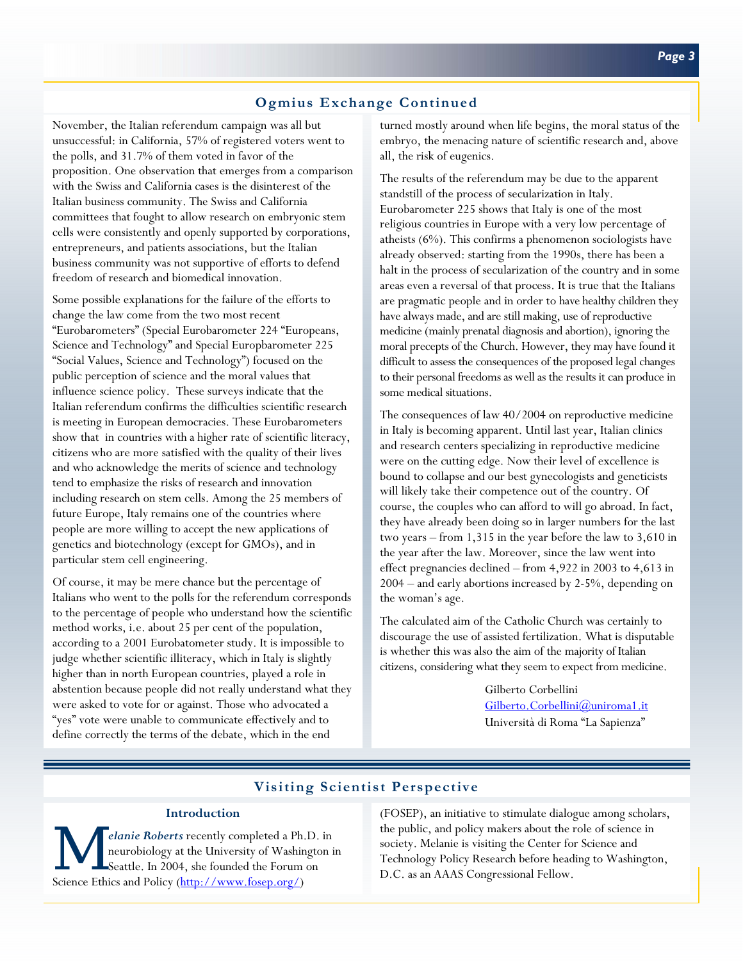# **Ogmius Exchange Continued**

November, the Italian referendum campaign was all but unsuccessful: in California, 57% of registered voters went to the polls, and 31.7% of them voted in favor of the proposition. One observation that emerges from a comparison with the Swiss and California cases is the disinterest of the Italian business community. The Swiss and California committees that fought to allow research on embryonic stem cells were consistently and openly supported by corporations, entrepreneurs, and patients associations, but the Italian business community was not supportive of efforts to defend freedom of research and biomedical innovation.

Some possible explanations for the failure of the efforts to change the law come from the two most recent "Eurobarometers" (Special Eurobarometer 224 "Europeans, Science and Technology" and Special Europbarometer 225 "Social Values, Science and Technology") focused on the public perception of science and the moral values that influence science policy. These surveys indicate that the Italian referendum confirms the difficulties scientific research is meeting in European democracies. These Eurobarometers show that in countries with a higher rate of scientific literacy, citizens who are more satisfied with the quality of their lives and who acknowledge the merits of science and technology tend to emphasize the risks of research and innovation including research on stem cells. Among the 25 members of future Europe, Italy remains one of the countries where people are more willing to accept the new applications of genetics and biotechnology (except for GMOs), and in particular stem cell engineering.

Of course, it may be mere chance but the percentage of Italians who went to the polls for the referendum corresponds to the percentage of people who understand how the scientific method works, i.e. about 25 per cent of the population, according to a 2001 Eurobatometer study. It is impossible to judge whether scientific illiteracy, which in Italy is slightly higher than in north European countries, played a role in abstention because people did not really understand what they were asked to vote for or against. Those who advocated a "yes" vote were unable to communicate effectively and to define correctly the terms of the debate, which in the end

turned mostly around when life begins, the moral status of the embryo, the menacing nature of scientific research and, above all, the risk of eugenics.

The results of the referendum may be due to the apparent standstill of the process of secularization in Italy. Eurobarometer 225 shows that Italy is one of the most religious countries in Europe with a very low percentage of atheists (6%). This confirms a phenomenon sociologists have already observed: starting from the 1990s, there has been a halt in the process of secularization of the country and in some areas even a reversal of that process. It is true that the Italians are pragmatic people and in order to have healthy children they have always made, and are still making, use of reproductive medicine (mainly prenatal diagnosis and abortion), ignoring the moral precepts of the Church. However, they may have found it difficult to assess the consequences of the proposed legal changes to their personal freedoms as well as the results it can produce in some medical situations.

The consequences of law 40/2004 on reproductive medicine in Italy is becoming apparent. Until last year, Italian clinics and research centers specializing in reproductive medicine were on the cutting edge. Now their level of excellence is bound to collapse and our best gynecologists and geneticists will likely take their competence out of the country. Of course, the couples who can afford to will go abroad. In fact, they have already been doing so in larger numbers for the last two years – from 1,315 in the year before the law to 3,610 in the year after the law. Moreover, since the law went into effect pregnancies declined – from 4,922 in 2003 to 4,613 in 2004 – and early abortions increased by 2-5%, depending on the woman's age.

The calculated aim of the Catholic Church was certainly to discourage the use of assisted fertilization. What is disputable is whether this was also the aim of the majority of Italian citizens, considering what they seem to expect from medicine.

> Gilberto Corbellini [Gilberto.Corbellini@uniroma1.it](mailto:Gilberto.Corbellini@uniroma1.it) Università di Roma "La Sapienza"

# **Visiting Scientist Perspective**

#### **Introduction**

*elanie Roberts* recently completed a Ph.D. in neurobiology at the University of Washington in Seattle. In 2004, she founded the Forum on Science Ethics and Policy (http://www.fosep.org/)

(FOSEP), an initiative to stimulate dialogue among scholars, the public, and policy makers about the role of science in society. Melanie is visiting the Center for Science and Technology Policy Research before heading to Washington, D.C. as an AAAS Congressional Fellow.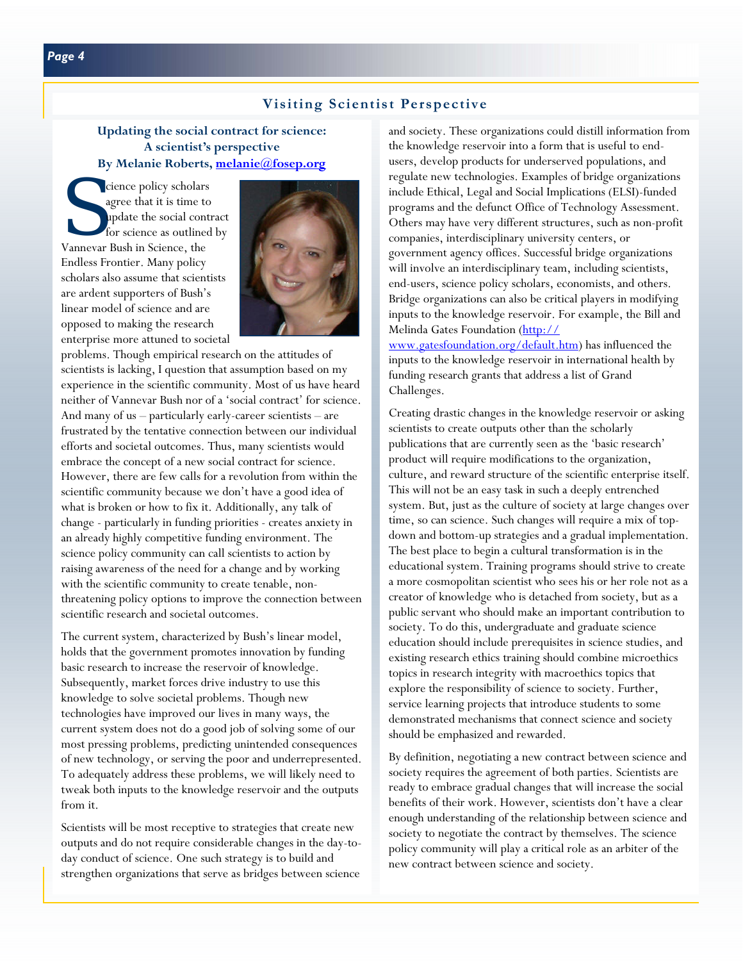# **Visiting Scientist Perspective**

# **Updating the social contract for science: A scientist's perspective By Melanie Roberts[, melanie@fosep.org](mailto:melanie@fosep.org)**

S cience policy scholars<br>agree that it is time to<br>update the social contractor for science as outlined<br>Vanneyar Bush in Science, the agree that it is time to update the social contract for science as outlined by Vannevar Bush in Science, the Endless Frontier. Many policy scholars also assume that scientists are ardent supporters of Bush's linear model of science and are opposed to making the research enterprise more attuned to societal



problems. Though empirical research on the attitudes of scientists is lacking, I question that assumption based on my experience in the scientific community. Most of us have heard neither of Vannevar Bush nor of a 'social contract' for science. And many of us – particularly early-career scientists – are frustrated by the tentative connection between our individual efforts and societal outcomes. Thus, many scientists would embrace the concept of a new social contract for science. However, there are few calls for a revolution from within the scientific community because we don't have a good idea of what is broken or how to fix it. Additionally, any talk of change - particularly in funding priorities - creates anxiety in an already highly competitive funding environment. The science policy community can call scientists to action by raising awareness of the need for a change and by working with the scientific community to create tenable, nonthreatening policy options to improve the connection between scientific research and societal outcomes.

The current system, characterized by Bush's linear model, holds that the government promotes innovation by funding basic research to increase the reservoir of knowledge. Subsequently, market forces drive industry to use this knowledge to solve societal problems. Though new technologies have improved our lives in many ways, the current system does not do a good job of solving some of our most pressing problems, predicting unintended consequences of new technology, or serving the poor and underrepresented. To adequately address these problems, we will likely need to tweak both inputs to the knowledge reservoir and the outputs from it.

Scientists will be most receptive to strategies that create new outputs and do not require considerable changes in the day-today conduct of science. One such strategy is to build and strengthen organizations that serve as bridges between science

and society. These organizations could distill information from the knowledge reservoir into a form that is useful to endusers, develop products for underserved populations, and regulate new technologies. Examples of bridge organizations include Ethical, Legal and Social Implications (ELSI)-funded programs and the defunct Office of Technology Assessment. Others may have very different structures, such as non-profit companies, interdisciplinary university centers, or government agency offices. Successful bridge organizations will involve an interdisciplinary team, including scientists, end-users, science policy scholars, economists, and others. Bridge organizations can also be critical players in modifying inputs to the knowledge reservoir. For example, the Bill and Melinda Gates Foundation (http://

[www.gatesfoundation.org/default.htm\)](http://www.gatesfoundation.org/default.htm) has influenced the inputs to the knowledge reservoir in international health by funding research grants that address a list of Grand Challenges.

Creating drastic changes in the knowledge reservoir or asking scientists to create outputs other than the scholarly publications that are currently seen as the 'basic research' product will require modifications to the organization, culture, and reward structure of the scientific enterprise itself. This will not be an easy task in such a deeply entrenched system. But, just as the culture of society at large changes over time, so can science. Such changes will require a mix of topdown and bottom-up strategies and a gradual implementation. The best place to begin a cultural transformation is in the educational system. Training programs should strive to create a more cosmopolitan scientist who sees his or her role not as a creator of knowledge who is detached from society, but as a public servant who should make an important contribution to society. To do this, undergraduate and graduate science education should include prerequisites in science studies, and existing research ethics training should combine microethics topics in research integrity with macroethics topics that explore the responsibility of science to society. Further, service learning projects that introduce students to some demonstrated mechanisms that connect science and society should be emphasized and rewarded.

By definition, negotiating a new contract between science and society requires the agreement of both parties. Scientists are ready to embrace gradual changes that will increase the social benefits of their work. However, scientists don't have a clear enough understanding of the relationship between science and society to negotiate the contract by themselves. The science policy community will play a critical role as an arbiter of the new contract between science and society.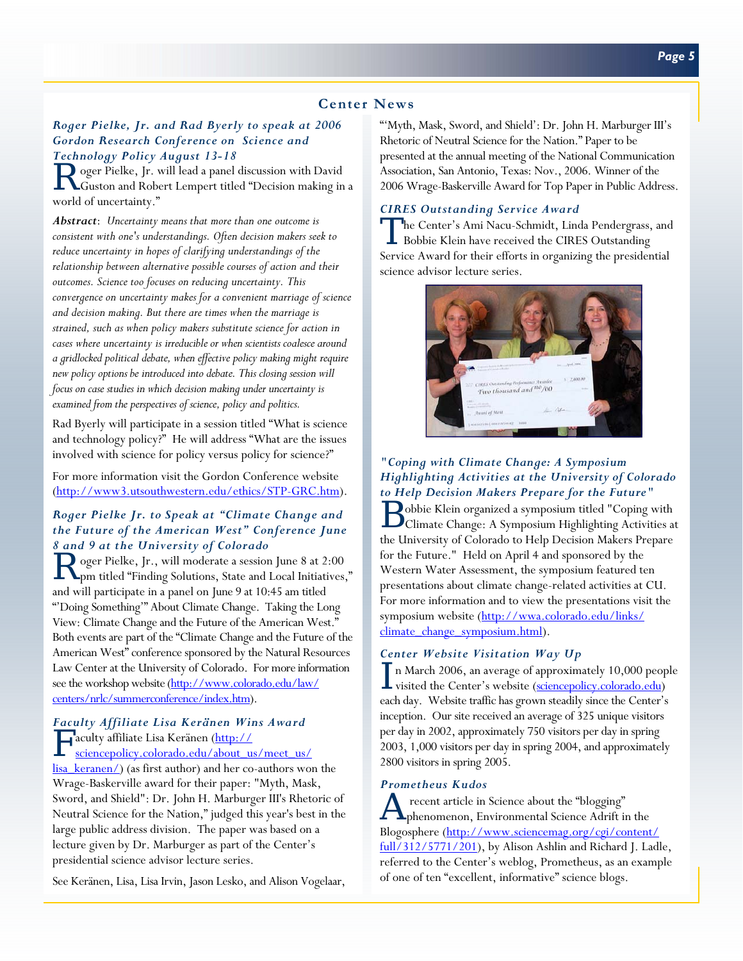# **Center News**

### *Roger Pielke, Jr. and Rad Byerly to speak at 2006 Gordon Research Conference on Science and Technology Policy August 13-18*

R oger Pielke, Jr. will lead a panel discussion with David<br>Custon and Robert Lempert titled "Decision making in a world of uncertainty."

*Abstract*: *Uncertainty means that more than one outcome is consistent with one's understandings. Often decision makers seek to reduce uncertainty in hopes of clarifying understandings of the relationship between alternative possible courses of action and their outcomes. Science too focuses on reducing uncertainty. This convergence on uncertainty makes for a convenient marriage of science and decision making. But there are times when the marriage is strained, such as when policy makers substitute science for action in cases where uncertainty is irreducible or when scientists coalesce around a gridlocked political debate, when effective policy making might require new policy options be introduced into debate. This closing session will focus on case studies in which decision making under uncertainty is examined from the perspectives of science, policy and politics.*

Rad Byerly will participate in a session titled "What is science and technology policy?" He will address "What are the issues involved with science for policy versus policy for science?"

For more information visit the Gordon Conference website [\(http://www3.utsouthwestern.edu/ethics/STP-GRC.htm\).](http://www3.utsouthwestern.edu/ethics/STP-GRC.htm) 

### *Roger Pielke Jr. to Speak at "Climate Change and the Future of the American West" Conference June 8 and 9 at the University of Colorado*

R oger Pielke, Jr., will moderate a session June 8 at 2:00 pm titled "Finding Solutions, State and Local Initiatives," and will participate in a panel on June 9 at 10:45 am titled "'Doing Something'" About Climate Change. Taking the Long View: Climate Change and the Future of the American West." Both events are part of the "Climate Change and the Future of the American West" conference sponsored by the Natural Resources Law Center at the University of Colorado. For more information [see the workshop website \(http://www.colorado.edu/law/](http://www.colorado.edu/law/centers/nrlc/summerconference/index.htm) centers/nrlc/summerconference/index.htm).

# *Faculty Affiliate Lisa Keränen Wins Award*  F aculty affiliate Lisa Keränen (http://

sciencepolicy.colorado.edu/about\_us/meet\_us/ [lisa\\_keranen/\) \(as first author\) and her co-authors won](http://sciencepolicy.colorado.edu/about_us/meet_us/lisa_keranen/) the Wrage-Baskerville award for their paper: "Myth, Mask, Sword, and Shield": Dr. John H. Marburger III's Rhetoric of Neutral Science for the Nation," judged this year's best in the large public address division. The paper was based on a lecture given by Dr. Marburger as part of the Center's presidential science advisor lecture series.

See Keränen, Lisa, Lisa Irvin, Jason Lesko, and Alison Vogelaar,

"'Myth, Mask, Sword, and Shield': Dr. John H. Marburger III's Rhetoric of Neutral Science for the Nation." Paper to be presented at the annual meeting of the National Communication Association, San Antonio, Texas: Nov., 2006. Winner of the 2006 Wrage-Baskerville Award for Top Paper in Public Address.

### *CIRES Outstanding Service Award*

The Center's Ami Nacu-Schmidt, Linda Pendergrass, and Bobbie Klein have received the CIRES Outstanding Service Award for their efforts in organizing the presidential science advisor lecture series.



### *"Coping with Climate Change: A Symposium Highlighting Activities at the University of Colorado to Help Decision Makers Prepare for the Future"*

B obbie Klein organized a symposium titled "Coping with" Climate Change: A Symposium Highlighting Activities at the University of Colorado to Help Decision Makers Prepare for the Future." Held on April 4 and sponsored by the Western Water Assessment, the symposium featured ten presentations about climate change-related activities at CU. For more information and to view the presentations visit the [symposium website \(http://wwa.colorado.edu/links/](http://wwa.colorado.edu/links/climate_change_symposium.html) climate\_change\_symposium.html).

#### *Center Website Visitation Way Up*

In March 2006, an average of approximately 10,000 people visited the Center's website (sciencepolicy.colorado.edu) each day. Website traffic has grown steadily since the Center's inception. Our site received an average of 325 unique visitors per day in 2002, approximately 750 visitors per day in spring 2003, 1,000 visitors per day in spring 2004, and approximately 2800 visitors in spring 2005.

#### *Prometheus Kudos*

recent article in Science about the "blogging" phenomenon, Environmental Science Adrift in the Blogosphere (http://www.sciencemag.org/cgi/content/ [full/312/5771/201\), by Alison Ashlin and Richard J. Ladle](http://www.sciencemag.org/cgi/content/full/312/5771/201), referred to the Center's weblog, Prometheus, as an example of one of ten "excellent, informative" science blogs.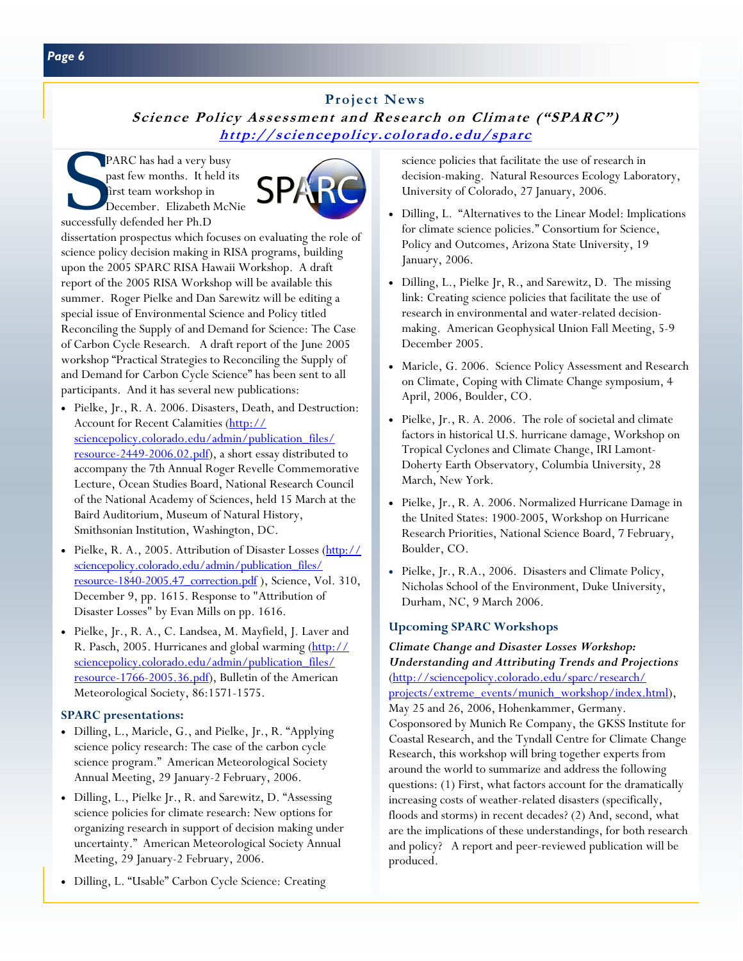# **Project News**

**Science Policy Assessment and Research on Climate ("SPARC") <http://sciencepolicy.colorado.edu/sparc>**

PARC has had a very busy past few months. It held its first team workshop in December. Elizabeth McNie successfully defended her Ph.D



dissertation prospectus which focuses on evaluating the role of science policy decision making in RISA programs, building upon the 2005 SPARC RISA Hawaii Workshop. A draft report of the 2005 RISA Workshop will be available this summer. Roger Pielke and Dan Sarewitz will be editing a special issue of Environmental Science and Policy titled Reconciling the Supply of and Demand for Science: The Case of Carbon Cycle Research. A draft report of the June 2005 workshop "Practical Strategies to Reconciling the Supply of and Demand for Carbon Cycle Science" has been sent to all participants. And it has several new publications:

- Pielke, Jr., R. A. 2006. Disasters, Death, and Destruction: Account for Recent Calamities (http:// sciencepolicy.colorado.edu/admin/publication\_files/ [resource-2449-2006.02.pdf\), a short essay distributed to](http://sciencepolicy.colorado.edu/admin/publication_files/resource-2449-2006.02.pdf) accompany the 7th Annual Roger Revelle Commemorative Lecture, Ocean Studies Board, National Research Council of the National Academy of Sciences, held 15 March at the Baird Auditorium, Museum of Natural History, Smithsonian Institution, Washington, DC.
- Pielke, R. A., 2005. Attribution of Disaster Losses (http:// sciencepolicy.colorado.edu/admin/publication\_files/ resource-1840-2005.47 correction.pdf ), Science, Vol. 310, December 9, pp. 1615. Response to "Attribution of Disaster Losses" by Evan Mills on pp. 1616.
- Pielke, Jr., R. A., C. Landsea, M. Mayfield, J. Laver and [R. Pasch, 2005. Hurricanes and global warming \(http://](http://sciencepolicy.colorado.edu/admin/publication_files/resource-1766-2005.36.pdf) sciencepolicy.colorado.edu/admin/publication\_files/ resource-1766-2005.36.pdf), Bulletin of the American Meteorological Society, 86:1571-1575.

# **SPARC presentations:**

- Dilling, L., Maricle, G., and Pielke, Jr., R. "Applying science policy research: The case of the carbon cycle science program." American Meteorological Society Annual Meeting, 29 January-2 February, 2006.
- Dilling, L., Pielke Jr., R. and Sarewitz, D. "Assessing science policies for climate research: New options for organizing research in support of decision making under uncertainty." American Meteorological Society Annual Meeting, 29 January-2 February, 2006.
- Dilling, L. "Usable" Carbon Cycle Science: Creating

science policies that facilitate the use of research in decision-making. Natural Resources Ecology Laboratory, University of Colorado, 27 January, 2006.

- Dilling, L. "Alternatives to the Linear Model: Implications for climate science policies." Consortium for Science, Policy and Outcomes, Arizona State University, 19 January, 2006.
- Dilling, L., Pielke Jr, R., and Sarewitz, D. The missing link: Creating science policies that facilitate the use of research in environmental and water-related decisionmaking. American Geophysical Union Fall Meeting, 5-9 December 2005.
- Maricle, G. 2006. Science Policy Assessment and Research on Climate, Coping with Climate Change symposium, 4 April, 2006, Boulder, CO.
- Pielke, Jr., R. A. 2006. The role of societal and climate factors in historical U.S. hurricane damage, Workshop on Tropical Cyclones and Climate Change, IRI Lamont-Doherty Earth Observatory, Columbia University, 28 March, New York.
- Pielke, Jr., R. A. 2006. Normalized Hurricane Damage in the United States: 1900-2005, Workshop on Hurricane Research Priorities, National Science Board, 7 February, Boulder, CO.
- Pielke, Jr., R.A., 2006. Disasters and Climate Policy, Nicholas School of the Environment, Duke University, Durham, NC, 9 March 2006.

# **Upcoming SPARC Workshops**

*Climate Change and Disaster Losses Workshop: Understanding and Attributing Trends and Projections*  (http://sciencepolicy.colorado.edu/sparc/research/ projects/extreme\_events/munich\_workshop/index.html), May 25 and 26, 2006, Hohenkammer, Germany. Cosponsored by Munich Re Company, the GKSS Institute for Coastal Research, and the Tyndall Centre for Climate Change Research, this workshop will bring together experts from around the world to summarize and address the following questions: (1) First, what factors account for the dramatically increasing costs of weather-related disasters (specifically, floods and storms) in recent decades? (2) And, second, what are the implications of these understandings, for both research and policy? A report and peer-reviewed publication will be produced.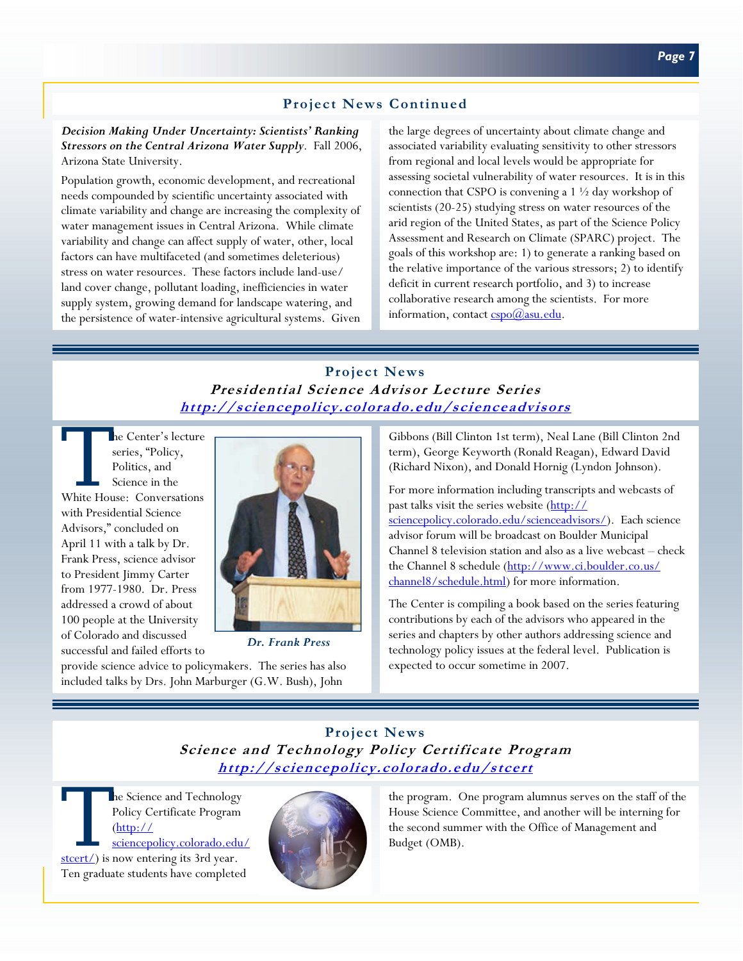# **Project News Continued**

### *Decision Making Under Uncertainty: Scientists' Ranking Stressors on the Central Arizona Water Supply*. Fall 2006, Arizona State University.

Population growth, economic development, and recreational needs compounded by scientific uncertainty associated with climate variability and change are increasing the complexity of water management issues in Central Arizona. While climate variability and change can affect supply of water, other, local factors can have multifaceted (and sometimes deleterious) stress on water resources. These factors include land-use/ land cover change, pollutant loading, inefficiencies in water supply system, growing demand for landscape watering, and the persistence of water-intensive agricultural systems. Given

the large degrees of uncertainty about climate change and associated variability evaluating sensitivity to other stressors from regional and local levels would be appropriate for assessing societal vulnerability of water resources. It is in this connection that CSPO is convening a 1 ½ day workshop of scientists (20-25) studying stress on water resources of the arid region of the United States, as part of the Science Policy Assessment and Research on Climate (SPARC) project. The goals of this workshop are: 1) to generate a ranking based on the relative importance of the various stressors; 2) to identify deficit in current research portfolio, and 3) to increase collaborative research among the scientists. For more information, contact cspo@asu.edu.

# **Project News Presidential Science Advisor Lecture Series <http://sciencepolicy.colorado.edu/scienceadvisors>**

The Center's lecture<br>
series, "Policy,<br>
Politics, and<br>
Science in the<br>
White House: Conversations series, "Policy, Politics, and Science in the with Presidential Science Advisors," concluded on April 11 with a talk by Dr. Frank Press, science advisor to President Jimmy Carter from 1977-1980. Dr. Press addressed a crowd of about 100 people at the University of Colorado and discussed successful and failed efforts to



*Dr. Frank Press* 

provide science advice to policymakers. The series has also included talks by Drs. John Marburger (G.W. Bush), John

Gibbons (Bill Clinton 1st term), Neal Lane (Bill Clinton 2nd term), George Keyworth (Ronald Reagan), Edward David (Richard Nixon), and Donald Hornig (Lyndon Johnson).

For more information including transcripts and webcasts of past talks visit the series website (http:// [sciencepolicy.colorado.edu/scienceadvisors/\).](http://sciencepolicy.colorado.edu/scienceadvisors) Each science advisor forum will be broadcast on Boulder Municipal Channel 8 television station and also as a live webcast – check [the Channel 8 schedule \(http://www.ci.boulder.co.us/](http://www.ci.boulder.co.us/channel8/schedule.html) channel8/schedule.html) for more information.

The Center is compiling a book based on the series featuring contributions by each of the advisors who appeared in the series and chapters by other authors addressing science and technology policy issues at the federal level. Publication is expected to occur sometime in 2007.

# **Project News Science and Technology Policy Certificate Program <http://sciencepolicy.colorado.edu/stcert>**

The Science and Technology<br>Policy Certificate Program<br>(http://<br>sciencepolicy.colorado.edu.stcert/) is now entering its 3rd vear. Policy Certificate Program  $(\underline{http://})$ sciencepolicy.colorado.edu/ stcert/) is now entering its 3rd year. Ten graduate students have completed



the program. One program alumnus serves on the staff of the House Science Committee, and another will be interning for the second summer with the Office of Management and Budget (OMB).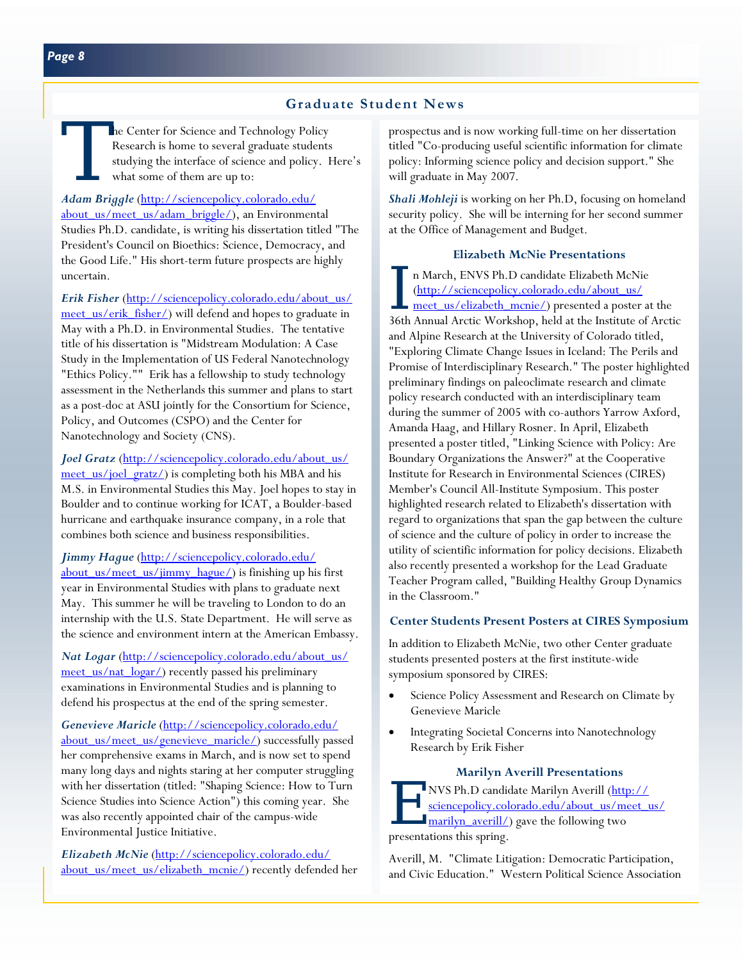he Center for Science and Technology Policy Research is home to several graduate students studying the interface of science and policy. Here's what some of them are up to:

*Adam Briggle* (http://sciencepolicy.colorado.edu/ about\_us/meet\_us/adam\_briggle/), an Environmental Studies Ph.D. candidate, is writing his dissertation titled "The President's Council on Bioethics: Science, Democracy, and the Good Life." His short-term future prospects are highly uncertain.

*Erik Fisher* (http://sciencepolicy.colorado.edu/about\_us/ meet\_us/erik\_fisher/) will defend and hopes to graduate in May with a Ph.D. in Environmental Studies. The tentative title of his dissertation is "Midstream Modulation: A Case Study in the Implementation of US Federal Nanotechnology "Ethics Policy."" Erik has a fellowship to study technology assessment in the Netherlands this summer and plans to start as a post-doc at ASU jointly for the Consortium for Science, Policy, and Outcomes (CSPO) and the Center for Nanotechnology and Society (CNS).

Joel Gratz (http://sciencepolicy.colorado.edu/about\_us/ meet\_us/joel\_gratz/) is completing both his MBA and his M.S. in Environmental Studies this May. Joel hopes to stay in Boulder and to continue working for ICAT, a Boulder-based hurricane and earthquake insurance company, in a role that combines both science and business responsibilities.

*Jimmy Hague* (http://sciencepolicy.colorado.edu/ about us/meet us/jimmy  $hague/$ ) is finishing up his first year in Environmental Studies with plans to graduate next May. This summer he will be traveling to London to do an internship with the U.S. State Department. He will serve as the science and environment intern at the American Embassy.

Nat Logar (http://sciencepolicy.colorado.edu/about\_us/ [meet\\_us/nat\\_logar/\) recently passed his preliminary](http://sciencepolicy.colorado.edu/about_us/meet_us/nat_logar/)  examinations in Environmental Studies and is planning to defend his prospectus at the end of the spring semester.

*Genevieve Maricle* (http://sciencepolicy.colorado.edu/ about\_us/meet\_us/genevieve\_maricle/) successfully passed her comprehensive exams in March, and is now set to spend many long days and nights staring at her computer struggling with her dissertation (titled: "Shaping Science: How to Turn Science Studies into Science Action") this coming year. She was also recently appointed chair of the campus-wide Environmental Justice Initiative.

*Elizabeth McNie* (http://sciencepolicy.colorado.edu/ about\_us/meet\_us/elizabeth\_mcnie/) recently defended her prospectus and is now working full-time on her dissertation titled "Co-producing useful scientific information for climate policy: Informing science policy and decision support." She will graduate in May 2007.

*Shali Mohleji* is working on her Ph.D, focusing on homeland security policy. She will be interning for her second summer at the Office of Management and Budget.

### **Elizabeth McNie Presentations**

I n March, ENVS Ph.D candidate Elizabeth McNie<br>
<u>(http://sciencepolicy.colorado.edu/about\_us/</u><br>
<u>meet\_us/elizabeth\_mcnie/</u>) presented a poster at the<br>
26th\_amual\_amia\_Mcnkhan\_kal\_d\_t the Institute of Angli (http://sciencepolicy.colorado.edu/about\_us/ 36th Annual Arctic Workshop, held at the Institute of Arctic and Alpine Research at the University of Colorado titled, "Exploring Climate Change Issues in Iceland: The Perils and Promise of Interdisciplinary Research." The poster highlighted preliminary findings on paleoclimate research and climate policy research conducted with an interdisciplinary team during the summer of 2005 with co-authors Yarrow Axford, Amanda Haag, and Hillary Rosner. In April, Elizabeth presented a poster titled, "Linking Science with Policy: Are Boundary Organizations the Answer?" at the Cooperative Institute for Research in Environmental Sciences (CIRES) Member's Council All-Institute Symposium. This poster highlighted research related to Elizabeth's dissertation with regard to organizations that span the gap between the culture of science and the culture of policy in order to increase the utility of scientific information for policy decisions. Elizabeth also recently presented a workshop for the Lead Graduate Teacher Program called, "Building Healthy Group Dynamics in the Classroom."

### **Center Students Present Posters at CIRES Symposium**

In addition to Elizabeth McNie, two other Center graduate students presented posters at the first institute-wide symposium sponsored by CIRES:

- Science Policy Assessment and Research on Climate by Genevieve Maricle
- Integrating Societal Concerns into Nanotechnology Research by Erik Fisher

### **Marilyn Averill Presentations**

**NVS Ph.D candidate Marilyn Averill (http://** [sciencepolicy.colorado.edu/about\\_us/meet\\_us/](http://sciencepolicy.colorado.edu/about_us/meet_us/marilyn_averill/) marilyn\_averill/) gave the following two presentations this spring.

Averill, M. "Climate Litigation: Democratic Participation, and Civic Education." Western Political Science Association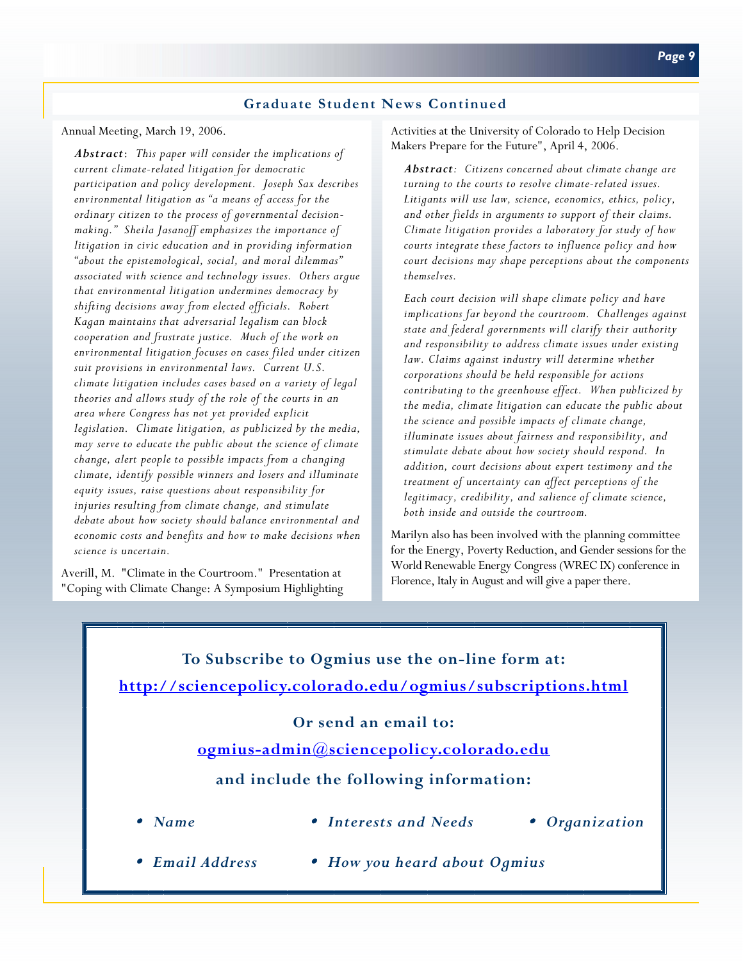### **Graduate Student News Continued**

Annual Meeting, March 19, 2006.

*Abstract*: *This paper will consider the implications of current climate-related litigation for democratic participation and policy development. Joseph Sax describes environmental litigation as "a means of access for the ordinary citizen to the process of governmental decisionmaking." Sheila Jasanoff emphasizes the importance of litigation in civic education and in providing information "about the epistemological, social, and moral dilemmas" associated with science and technology issues. Others argue that environmental litigation undermines democracy by shifting decisions away from elected officials. Robert Kagan maintains that adversarial legalism can block cooperation and frustrate justice. Much of the work on environmental litigation focuses on cases filed under citizen suit provisions in environmental laws. Current U.S. climate litigation includes cases based on a variety of legal theories and allows study of the role of the courts in an area where Congress has not yet provided explicit legislation. Climate litigation, as publicized by the media, may serve to educate the public about the science of climate change, alert people to possible impacts from a changing climate, identify possible winners and losers and illuminate equity issues, raise questions about responsibility for injuries resulting from climate change, and stimulate debate about how society should balance environmental and economic costs and benefits and how to make decisions when science is uncertain.* 

Averill, M. "Climate in the Courtroom." Presentation at "Coping with Climate Change: A Symposium Highlighting Activities at the University of Colorado to Help Decision Makers Prepare for the Future", April 4, 2006.

*Abstract: Citizens concerned about climate change are turning to the courts to resolve climate-related issues. Litigants will use law, science, economics, ethics, policy, and other fields in arguments to support of their claims. Climate litigation provides a laboratory for study of how courts integrate these factors to influence policy and how court decisions may shape perceptions about the components themselves.* 

*Each court decision will shape climate policy and have implications far beyond the courtroom. Challenges against state and federal governments will clarify their authority and responsibility to address climate issues under existing law. Claims against industry will determine whether corporations should be held responsible for actions contributing to the greenhouse effect. When publicized by the media, climate litigation can educate the public about the science and possible impacts of climate change, illuminate issues about fairness and responsibility, and stimulate debate about how society should respond. In addition, court decisions about expert testimony and the treatment of uncertainty can affect perceptions of the legitimacy, credibility, and salience of climate science, both inside and outside the courtroom.* 

Marilyn also has been involved with the planning committee for the Energy, Poverty Reduction, and Gender sessions for the World Renewable Energy Congress (WREC IX) conference in Florence, Italy in August and will give a paper there.

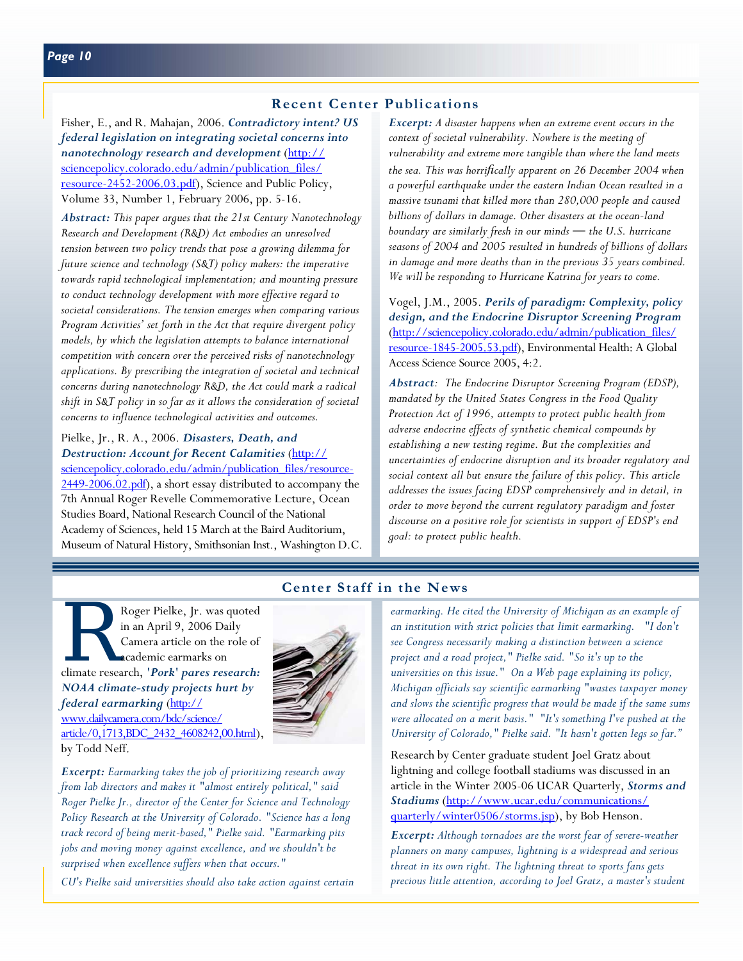### **Recent Center Publications**

Fisher, E., and R. Mahajan, 2006. *Contradictory intent? US federal legislation on integrating societal concerns into nanotechnology research and development* (http:// [sciencepolicy.colorado.edu/admin/publication\\_files/](http://sciencepolicy.colorado.edu/admin/publication_files/resource-2452-2006.03.pdf) resource-2452-2006.03.pdf), Science and Public Policy, Volume 33, Number 1, February 2006, pp. 5-16.

*Abstract: This paper argues that the 21st Century Nanotechnology Research and Development (R&D) Act embodies an unresolved tension between two policy trends that pose a growing dilemma for future science and technology (S&T) policy makers: the imperative towards rapid technological implementation; and mounting pressure to conduct technology development with more effective regard to societal considerations. The tension emerges when comparing various Program Activities' set forth in the Act that require divergent policy models, by which the legislation attempts to balance international competition with concern over the perceived risks of nanotechnology applications. By prescribing the integration of societal and technical concerns during nanotechnology R&D, the Act could mark a radical shift in S&T policy in so far as it allows the consideration of societal concerns to influence technological activities and outcomes.* 

Pielke, Jr., R. A., 2006. *Disasters, Death, and Destruction: Account for Recent Calamities* (http:// sciencepolicy.colorado.edu/admin/publication\_files/resource-[2449-2006.02.pdf\), a short essay distributed to accompany the](http://sciencepolicy.colorado.edu/admin/publication_files/resource-2449-2006.02.pdf) 7th Annual Roger Revelle Commemorative Lecture, Ocean Studies Board, National Research Council of the National Academy of Sciences, held 15 March at the Baird Auditorium, Museum of Natural History, Smithsonian Inst., Washington D.C. *Excerpt: A disaster happens when an extreme event occurs in the context of societal vulnerability. Nowhere is the meeting of vulnerability and extreme more tangible than where the land meets the sea. This was horrifically apparent on 26 December 2004 when a powerful earthquake under the eastern Indian Ocean resulted in a massive tsunami that killed more than 280,000 people and caused billions of dollars in damage. Other disasters at the ocean-land boundary are similarly fresh in our minds ― the U.S. hurricane seasons of 2004 and 2005 resulted in hundreds of billions of dollars in damage and more deaths than in the previous 35 years combined. We will be responding to Hurricane Katrina for years to come.* 

Vogel, J.M., 2005. *Perils of paradigm: Complexity, policy design, and the Endocrine Disruptor Screening Program*  (http://sciencepolicy.colorado.edu/admin/publication\_files/ [resource-1845-2005.53.pdf\), Environmental Health: A Global](http://sciencepolicy.colorado.edu/admin/publication_files/resource-1845-2005.53.pdf)  Access Science Source 2005, 4:2.

*Abstract: The Endocrine Disruptor Screening Program (EDSP), mandated by the United States Congress in the Food Quality Protection Act of 1996, attempts to protect public health from adverse endocrine effects of synthetic chemical compounds by establishing a new testing regime. But the complexities and uncertainties of endocrine disruption and its broader regulatory and social context all but ensure the failure of this policy. This article addresses the issues facing EDSP comprehensively and in detail, in order to move beyond the current regulatory paradigm and foster discourse on a positive role for scientists in support of EDSP's end goal: to protect public health.* 

# Roger Pielke, Jr. was quoted<br>
in an April 9, 2006 Daily<br>
Camera article on the role of<br>
academic earmarks on<br>
climate research, '*Pork*' pares research: in an April 9, 2006 Daily Camera article on the role of academic earmarks on *NOAA climate-study projects hurt by federal earmarking* (http:// www.dailycamera.com/bdc/science/ [article/0,1713,BDC\\_2432\\_4608242,00.html\),](http://www.dailycamera.com/bdc/science/article/0,1713,BDC_2432_4608242,00.html) by Todd Neff.



*Excerpt: Earmarking takes the job of prioritizing research away from lab directors and makes it "almost entirely political," said Roger Pielke Jr., director of the Center for Science and Technology Policy Research at the University of Colorado. "Science has a long track record of being merit-based," Pielke said. "Earmarking pits jobs and moving money against excellence, and we shouldn't be surprised when excellence suffers when that occurs."* 

*CU's Pielke said universities should also take action against certain* 

# **Center Staff in the News**

*earmarking. He cited the University of Michigan as an example of an institution with strict policies that limit earmarking. "I don't see Congress necessarily making a distinction between a science project and a road project," Pielke said. "So it's up to the universities on this issue." On a Web page explaining its policy, Michigan officials say scientific earmarking "wastes taxpayer money and slows the scientific progress that would be made if the same sums were allocated on a merit basis." "It's something I've pushed at the University of Colorado," Pielke said. "It hasn't gotten legs so far."* 

Research by Center graduate student Joel Gratz about lightning and college football stadiums was discussed in an article in the Winter 2005-06 UCAR Quarterly, *Storms and Stadiums* (http://www.ucar.edu/communications/ [quarterly/winter0506/storms.jsp\), by Bob Henson.](http://www.ucar.edu/communications/quarterly/winter0506/storms.jsp) 

*Excerpt: Although tornadoes are the worst fear of severe-weather planners on many campuses, lightning is a widespread and serious threat in its own right. The lightning threat to sports fans gets precious little attention, according to Joel Gratz, a master's student*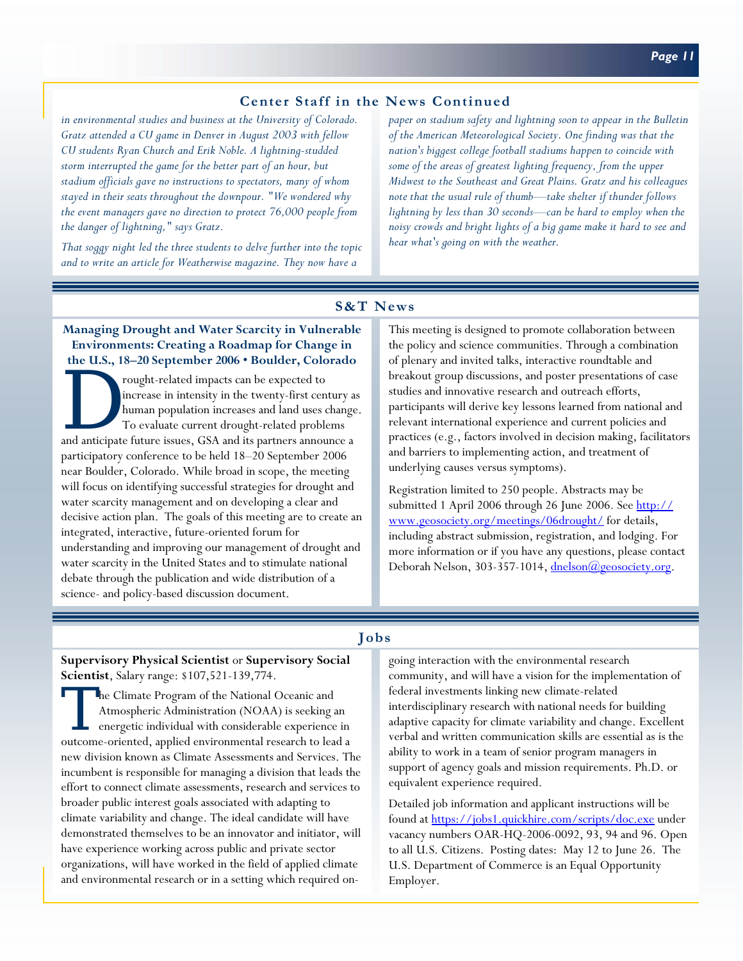# **Center Staff in the News Continued**

*in environmental studies and business at the University of Colorado. Gratz attended a CU game in Denver in August 2003 with fellow CU students Ryan Church and Erik Noble. A lightning-studded storm interrupted the game for the better part of an hour, but stadium officials gave no instructions to spectators, many of whom stayed in their seats throughout the downpour. "We wondered why the event managers gave no direction to protect 76,000 people from the danger of lightning," says Gratz.* 

*That soggy night led the three students to delve further into the topic and to write an article for Weatherwise magazine. They now have a* 

*paper on stadium safety and lightning soon to appear in the Bulletin of the American Meteorological Society. One finding was that the nation's biggest college football stadiums happen to coincide with some of the areas of greatest lighting frequency, from the upper Midwest to the Southeast and Great Plains. Gratz and his colleagues note that the usual rule of thumb—take shelter if thunder follows lightning by less than 30 seconds—can be hard to employ when the noisy crowds and bright lights of a big game make it hard to see and hear what's going on with the weather.*

# **S&T News**

### **Managing Drought and Water Scarcity in Vulnerable Environments: Creating a Roadmap for Change in the U.S., 18–20 September 2006 • Boulder, Colorado**

rought-related impacts can be expected to increase in intensity in the twenty-first century as human population increases and land uses change. To evaluate current drought-related problems and anticipate future issues, GSA and its partners announce a participatory conference to be held 18–20 September 2006 near Boulder, Colorado. While broad in scope, the meeting will focus on identifying successful strategies for drought and water scarcity management and on developing a clear and decisive action plan. The goals of this meeting are to create an integrated, interactive, future-oriented forum for understanding and improving our management of drought and water scarcity in the United States and to stimulate national debate through the publication and wide distribution of a science- and policy-based discussion document.

This meeting is designed to promote collaboration between the policy and science communities. Through a combination of plenary and invited talks, interactive roundtable and breakout group discussions, and poster presentations of case studies and innovative research and outreach efforts, participants will derive key lessons learned from national and relevant international experience and current policies and practices (e.g., factors involved in decision making, facilitators and barriers to implementing action, and treatment of underlying causes versus symptoms).

Registration limited to 250 people. Abstracts may be [submitted 1 April 2006 through 26 June 2006. See http://](http://www.geosociety.org/meetings/06drought/) www.geosociety.org/meetings/06drought/ for details, including abstract submission, registration, and lodging. For more information or if you have any questions, please contact Deborah Nelson, 303-357-1014, dnelson@geosociety.org.

# **Jobs**

**Supervisory Physical Scientist** or **Supervisory Social Scientist**, Salary range: \$107,521-139,774.

The Climate Program of the National Oceanic and Atmospheric Administration (NOAA) is seeking an energetic individual with considerable experience in outcome-oriented, applied environmental research to lead a new division known as Climate Assessments and Services. The incumbent is responsible for managing a division that leads the effort to connect climate assessments, research and services to broader public interest goals associated with adapting to climate variability and change. The ideal candidate will have demonstrated themselves to be an innovator and initiator, will have experience working across public and private sector organizations, will have worked in the field of applied climate and environmental research or in a setting which required ongoing interaction with the environmental research community, and will have a vision for the implementation of federal investments linking new climate-related interdisciplinary research with national needs for building adaptive capacity for climate variability and change. Excellent verbal and written communication skills are essential as is the ability to work in a team of senior program managers in support of agency goals and mission requirements. Ph.D. or equivalent experience required.

Detailed job information and applicant instructions will be found a[t https://jobs1.quickhire.com/scripts/doc.exe u](https://jobs1.quickhire.com/scripts/doc.exe)nder vacancy numbers OAR-HQ-2006-0092, 93, 94 and 96. Open to all U.S. Citizens. Posting dates: May 12 to June 26. The U.S. Department of Commerce is an Equal Opportunity Employer.